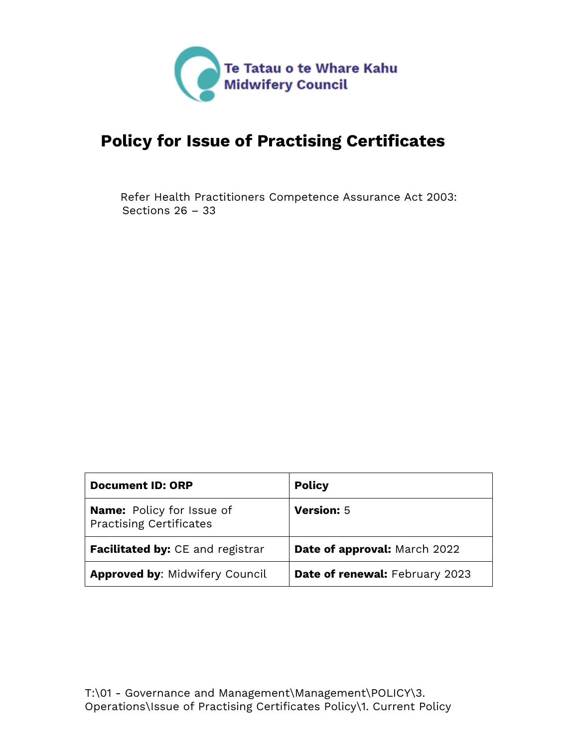

# <span id="page-0-0"></span>**Policy for Issue of Practising Certificates**

Refer Health Practitioners Competence Assurance Act 2003: Sections 26 – 33

| <b>Document ID: ORP</b>                                            | <b>Policy</b>                  |
|--------------------------------------------------------------------|--------------------------------|
| <b>Name:</b> Policy for Issue of<br><b>Practising Certificates</b> | <b>Version: 5</b>              |
| <b>Facilitated by:</b> CE and registrar                            | Date of approval: March 2022   |
| <b>Approved by: Midwifery Council</b>                              | Date of renewal: February 2023 |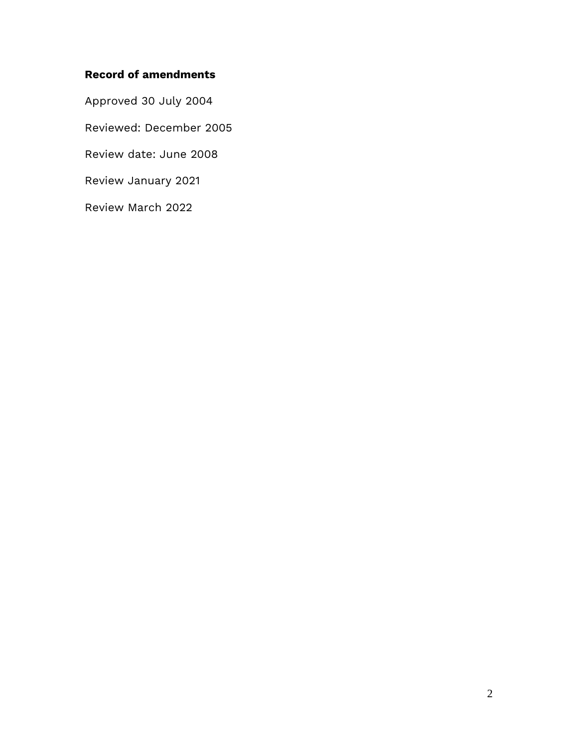## **Record of amendments**

Approved 30 July 2004

Reviewed: December 2005

Review date: June 2008

Review January 2021

Review March 2022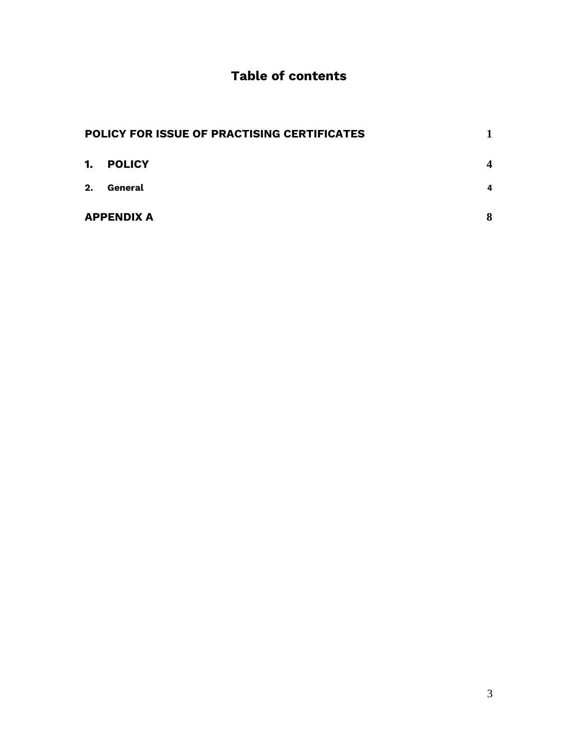# **Table of contents**

|    | POLICY FOR ISSUE OF PRACTISING CERTIFICATES |                  |
|----|---------------------------------------------|------------------|
| 1. | <b>POLICY</b>                               | $\boldsymbol{4}$ |
| 2. | General                                     | 4                |
|    | <b>APPENDIX A</b>                           | 8                |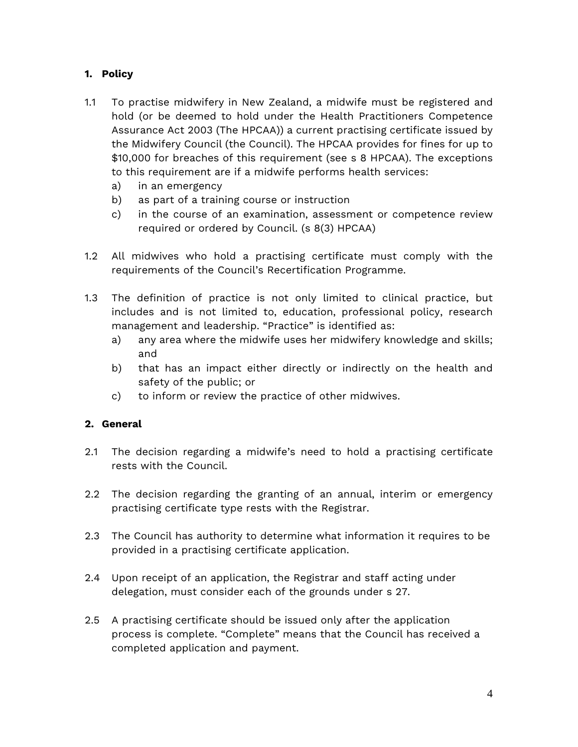#### <span id="page-3-0"></span>**1. Policy**

- 1.1 To practise midwifery in New Zealand, a midwife must be registered and hold (or be deemed to hold under the Health Practitioners Competence Assurance Act 2003 (The HPCAA)) a current practising certificate issued by the Midwifery Council (the Council). The HPCAA provides for fines for up to \$10,000 for breaches of this requirement (see s 8 HPCAA). The exceptions to this requirement are if a midwife performs health services:
	- a) in an emergency
	- b) as part of a training course or instruction
	- c) in the course of an examination, assessment or competence review required or ordered by Council. (s 8(3) HPCAA)
- 1.2 All midwives who hold a practising certificate must comply with the requirements of the Council's Recertification Programme.
- 1.3 The definition of practice is not only limited to clinical practice, but includes and is not limited to, education, professional policy, research management and leadership. "Practice" is identified as:
	- a) any area where the midwife uses her midwifery knowledge and skills; and
	- b) that has an impact either directly or indirectly on the health and safety of the public; or
	- c) to inform or review the practice of other midwives.

#### <span id="page-3-1"></span>**2. General**

- 2.1 The decision regarding a midwife's need to hold a practising certificate rests with the Council.
- 2.2 The decision regarding the granting of an annual, interim or emergency practising certificate type rests with the Registrar.
- 2.3 The Council has authority to determine what information it requires to be provided in a practising certificate application.
- 2.4 Upon receipt of an application, the Registrar and staff acting under delegation, must consider each of the grounds under s 27.
- 2.5 A practising certificate should be issued only after the application process is complete. "Complete" means that the Council has received a completed application and payment.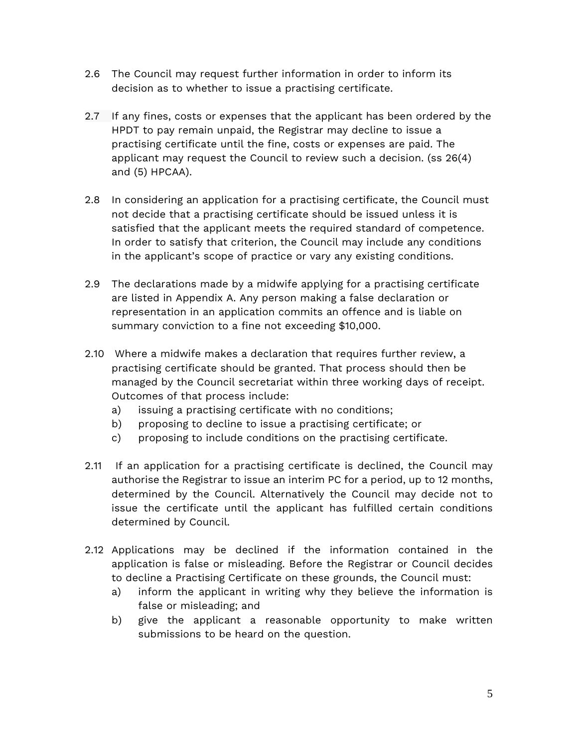- 2.6 The Council may request further information in order to inform its decision as to whether to issue a practising certificate.
- 2.7 If any fines, costs or expenses that the applicant has been ordered by the HPDT to pay remain unpaid, the Registrar may decline to issue a practising certificate until the fine, costs or expenses are paid. The applicant may request the Council to review such a decision. (ss 26(4) and (5) HPCAA).
- 2.8 In considering an application for a practising certificate, the Council must not decide that a practising certificate should be issued unless it is satisfied that the applicant meets the required standard of competence. In order to satisfy that criterion, the Council may include any conditions in the applicant's scope of practice or vary any existing conditions.
- 2.9 The declarations made by a midwife applying for a practising certificate are listed in Appendix A. Any person making a false declaration or representation in an application commits an offence and is liable on summary conviction to a fine not exceeding \$10,000.
- 2.10 Where a midwife makes a declaration that requires further review, a practising certificate should be granted. That process should then be managed by the Council secretariat within three working days of receipt. Outcomes of that process include:
	- a) issuing a practising certificate with no conditions;
	- b) proposing to decline to issue a practising certificate; or
	- c) proposing to include conditions on the practising certificate.
- 2.11 If an application for a practising certificate is declined, the Council may authorise the Registrar to issue an interim PC for a period, up to 12 months, determined by the Council. Alternatively the Council may decide not to issue the certificate until the applicant has fulfilled certain conditions determined by Council.
- 2.12 Applications may be declined if the information contained in the application is false or misleading. Before the Registrar or Council decides to decline a Practising Certificate on these grounds, the Council must:
	- a) inform the applicant in writing why they believe the information is false or misleading; and
	- b) give the applicant a reasonable opportunity to make written submissions to be heard on the question.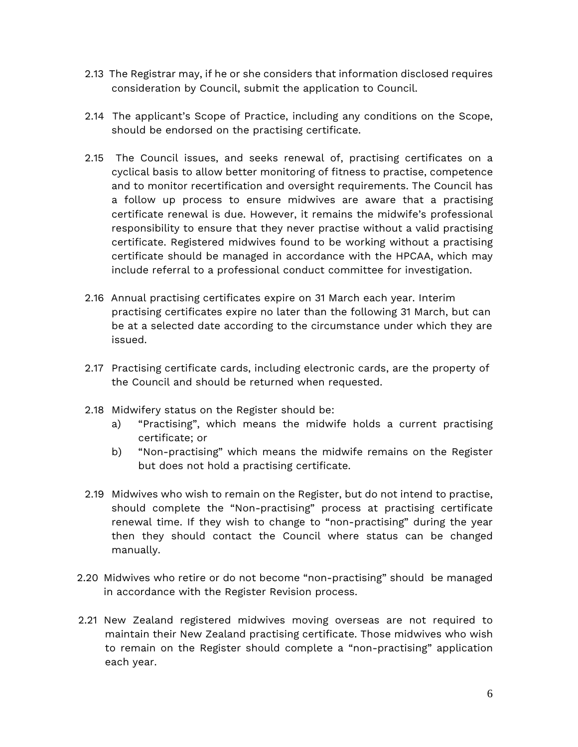- 2.13 The Registrar may, if he or she considers that information disclosed requires consideration by Council, submit the application to Council.
- 2.14 The applicant's Scope of Practice, including any conditions on the Scope, should be endorsed on the practising certificate.
- 2.15 The Council issues, and seeks renewal of, practising certificates on a cyclical basis to allow better monitoring of fitness to practise, competence and to monitor recertification and oversight requirements. The Council has a follow up process to ensure midwives are aware that a practising certificate renewal is due. However, it remains the midwife's professional responsibility to ensure that they never practise without a valid practising certificate. Registered midwives found to be working without a practising certificate should be managed in accordance with the HPCAA, which may include referral to a professional conduct committee for investigation.
- 2.16 Annual practising certificates expire on 31 March each year. Interim practising certificates expire no later than the following 31 March, but can be at a selected date according to the circumstance under which they are issued.
- 2.17 Practising certificate cards, including electronic cards, are the property of the Council and should be returned when requested.
- 2.18 Midwifery status on the Register should be:
	- a) "Practising", which means the midwife holds a current practising certificate; or
	- b) "Non-practising" which means the midwife remains on the Register but does not hold a practising certificate.
- 2.19 Midwives who wish to remain on the Register, but do not intend to practise, should complete the "Non-practising" process at practising certificate renewal time. If they wish to change to "non-practising" during the year then they should contact the Council where status can be changed manually.
- 2.20 Midwives who retire or do not become "non-practising" should be managed in accordance with the Register Revision process.
- 2.21 New Zealand registered midwives moving overseas are not required to maintain their New Zealand practising certificate. Those midwives who wish to remain on the Register should complete a "non-practising" application each year.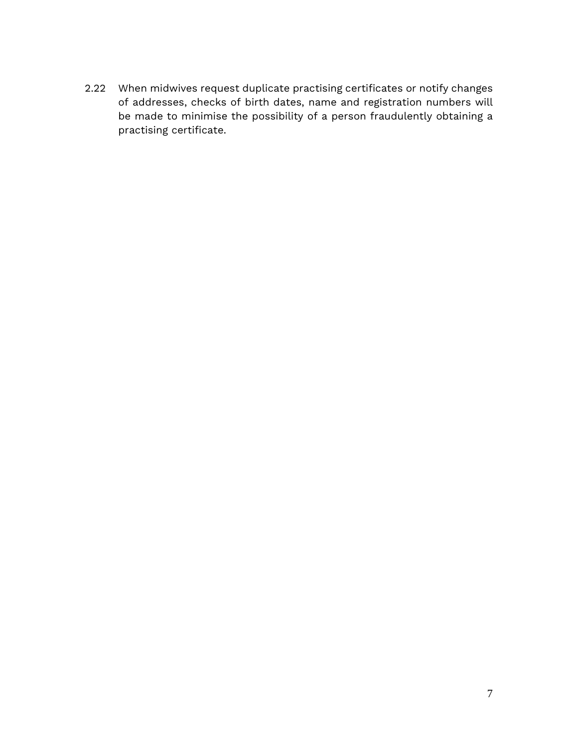2.22 When midwives request duplicate practising certificates or notify changes of addresses, checks of birth dates, name and registration numbers will be made to minimise the possibility of a person fraudulently obtaining a practising certificate.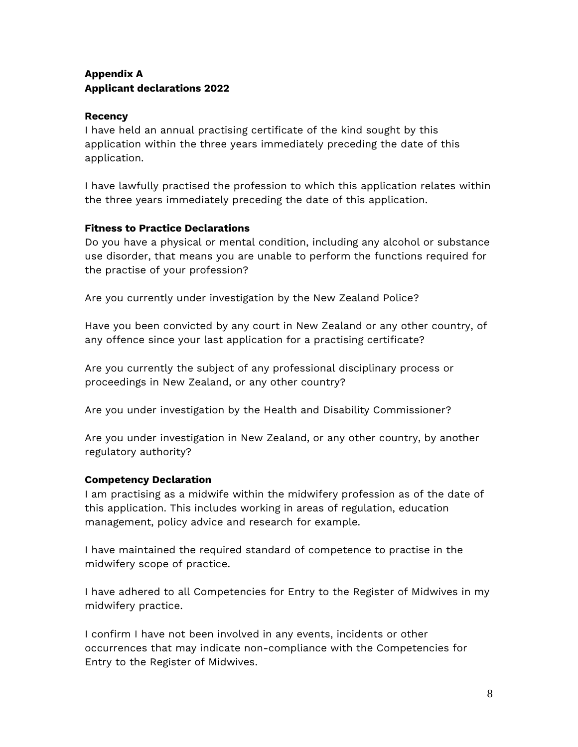### <span id="page-7-0"></span>**Appendix A Applicant declarations 2022**

#### **Recency**

I have held an annual practising certificate of the kind sought by this application within the three years immediately preceding the date of this application.

I have lawfully practised the profession to which this application relates within the three years immediately preceding the date of this application.

#### **Fitness to Practice Declarations**

Do you have a physical or mental condition, including any alcohol or substance use disorder, that means you are unable to perform the functions required for the practise of your profession?

Are you currently under investigation by the New Zealand Police?

Have you been convicted by any court in New Zealand or any other country, of any offence since your last application for a practising certificate?

Are you currently the subject of any professional disciplinary process or proceedings in New Zealand, or any other country?

Are you under investigation by the Health and Disability Commissioner?

Are you under investigation in New Zealand, or any other country, by another regulatory authority?

#### **Competency Declaration**

I am practising as a midwife within the midwifery profession as of the date of this application. This includes working in areas of regulation, education management, policy advice and research for example.

I have maintained the required standard of competence to practise in the midwifery scope of practice.

I have adhered to all Competencies for Entry to the Register of Midwives in my midwifery practice.

I confirm I have not been involved in any events, incidents or other occurrences that may indicate non-compliance with the Competencies for Entry to the Register of Midwives.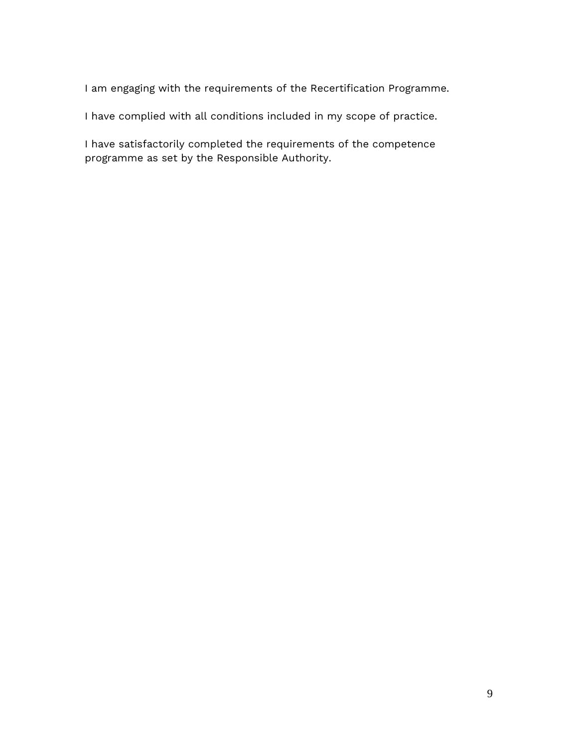I am engaging with the requirements of the Recertification Programme.

I have complied with all conditions included in my scope of practice.

I have satisfactorily completed the requirements of the competence programme as set by the Responsible Authority.